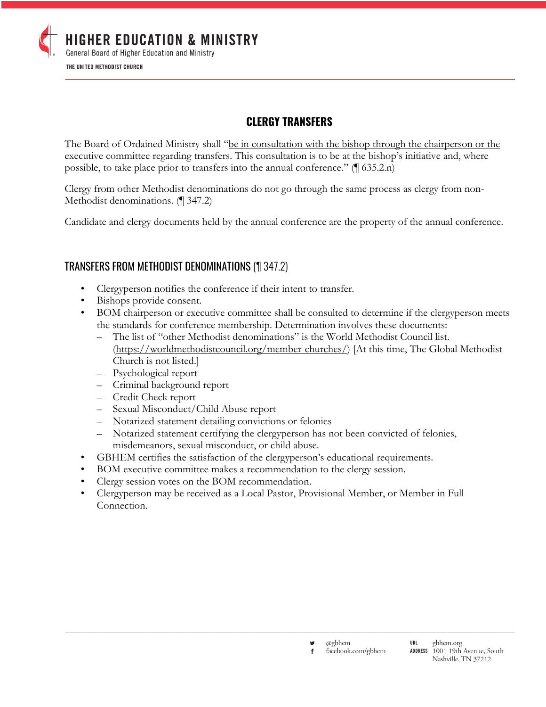

# **CLERGY TRANSFERS**

The Board of Ordained Ministry shall "be in consultation with the bishop through the chairperson or the executive committee regarding transfers. This consultation is to be at the bishop's initiative and, where possible, to take place prior to transfers into the annual conference." (¶ 635.2.n)

Clergy from other Methodist denominations do not go through the same process as clergy from non-Methodist denominations. (¶ 347.2)

Candidate and clergy documents held by the annual conference are the property of the annual conference.

## TRANSFERS FROM METHODIST DENOMINATIONS (¶ 347.2)

- Clergyperson notifies the conference if their intent to transfer.
- Bishops provide consent.
- BOM chairperson or executive committee shall be consulted to determine if the clergyperson meets the standards for conference membership. Determination involves these documents:
	- The list of "other Methodist denominations" is the World Methodist Council list. (https://worldmethodistcouncil.org/member-churches/) [At this time, The Global Methodist Church is not listed.]
	- Psychological report
	- Criminal background report
	- Credit Check report
	- Sexual Misconduct/Child Abuse report
	- Notarized statement detailing convictions or felonies
	- Notarized statement certifying the clergyperson has not been convicted of felonies, misdemeanors, sexual misconduct, or child abuse.
- GBHEM certifies the satisfaction of the clergyperson's educational requirements.
- BOM executive committee makes a recommendation to the clergy session.
- Clergy session votes on the BOM recommendation.
- Clergyperson may be received as a Local Pastor, Provisional Member, or Member in Full Connection.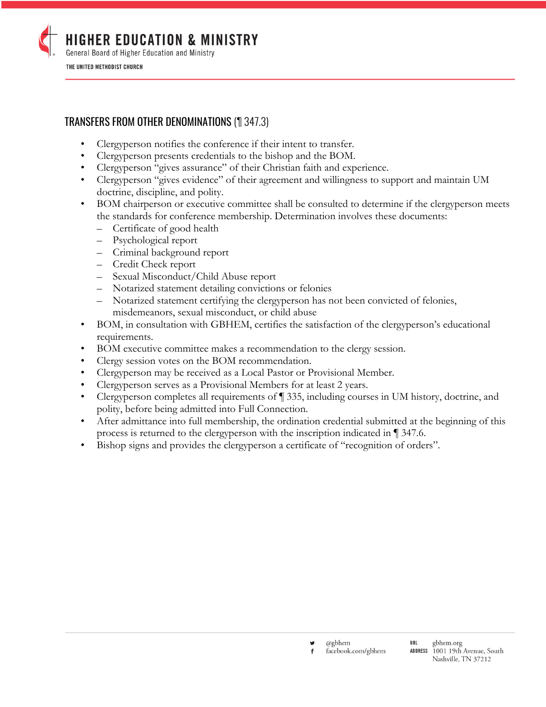

# TRANSFERS FROM OTHER DENOMINATIONS (¶ 347.3)

- Clergyperson notifies the conference if their intent to transfer.
- Clergyperson presents credentials to the bishop and the BOM.
- Clergyperson "gives assurance" of their Christian faith and experience.
- Clergyperson "gives evidence" of their agreement and willingness to support and maintain UM doctrine, discipline, and polity.
- BOM chairperson or executive committee shall be consulted to determine if the clergyperson meets the standards for conference membership. Determination involves these documents:
	- Certificate of good health
	- Psychological report
	- Criminal background report
	- Credit Check report
	- Sexual Misconduct/Child Abuse report
	- Notarized statement detailing convictions or felonies
	- Notarized statement certifying the clergyperson has not been convicted of felonies, misdemeanors, sexual misconduct, or child abuse
- BOM, in consultation with GBHEM, certifies the satisfaction of the clergyperson's educational requirements.
- BOM executive committee makes a recommendation to the clergy session.
- Clergy session votes on the BOM recommendation.
- Clergyperson may be received as a Local Pastor or Provisional Member.
- Clergyperson serves as a Provisional Members for at least 2 years.
- Clergyperson completes all requirements of ¶ 335, including courses in UM history, doctrine, and polity, before being admitted into Full Connection.
- After admittance into full membership, the ordination credential submitted at the beginning of this process is returned to the clergyperson with the inscription indicated in ¶ 347.6.
- Bishop signs and provides the clergyperson a certificate of "recognition of orders".

@gbhem facebook.com/gbhem Nashville, TN 37212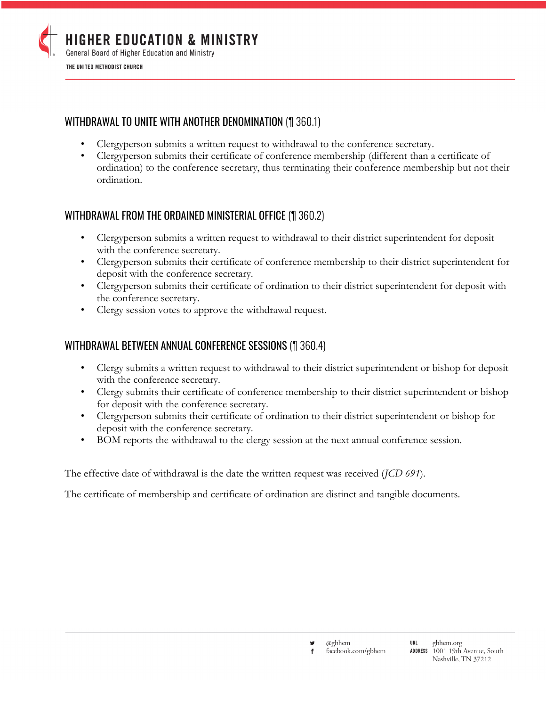

## WITHDRAWAL TO UNITE WITH ANOTHER DENOMINATION (¶ 360.1)

- Clergyperson submits a written request to withdrawal to the conference secretary.
- Clergyperson submits their certificate of conference membership (different than a certificate of ordination) to the conference secretary, thus terminating their conference membership but not their ordination.

## WITHDRAWAL FROM THE ORDAINED MINISTERIAL OFFICE (¶ 360.2)

- Clergyperson submits a written request to withdrawal to their district superintendent for deposit with the conference secretary.
- Clergyperson submits their certificate of conference membership to their district superintendent for deposit with the conference secretary.
- Clergyperson submits their certificate of ordination to their district superintendent for deposit with the conference secretary.
- Clergy session votes to approve the withdrawal request.

#### WITHDRAWAL BETWEEN ANNUAL CONFERENCE SESSIONS (¶ 360.4)

- Clergy submits a written request to withdrawal to their district superintendent or bishop for deposit with the conference secretary.
- Clergy submits their certificate of conference membership to their district superintendent or bishop for deposit with the conference secretary.
- Clergyperson submits their certificate of ordination to their district superintendent or bishop for deposit with the conference secretary.
- BOM reports the withdrawal to the clergy session at the next annual conference session.

The effective date of withdrawal is the date the written request was received (*JCD 691*).

The certificate of membership and certificate of ordination are distinct and tangible documents.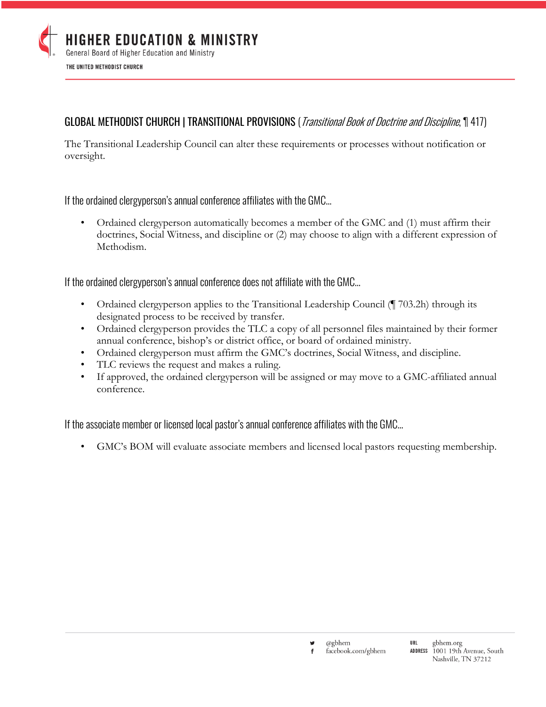

# GLOBAL METHODIST CHURCH | TRANSITIONAL PROVISIONS (*Transitional Book of Doctrine and Discipline*, 1947)

The Transitional Leadership Council can alter these requirements or processes without notification or oversight.

If the ordained clergyperson's annual conference affiliates with the GMC…

• Ordained clergyperson automatically becomes a member of the GMC and (1) must affirm their doctrines, Social Witness, and discipline or (2) may choose to align with a different expression of Methodism.

If the ordained clergyperson's annual conference does not affiliate with the GMC…

- Ordained clergyperson applies to the Transitional Leadership Council (¶ 703.2h) through its designated process to be received by transfer.
- Ordained clergyperson provides the TLC a copy of all personnel files maintained by their former annual conference, bishop's or district office, or board of ordained ministry.
- Ordained clergyperson must affirm the GMC's doctrines, Social Witness, and discipline.
- TLC reviews the request and makes a ruling.
- If approved, the ordained clergyperson will be assigned or may move to a GMC-affiliated annual conference.

If the associate member or licensed local pastor's annual conference affiliates with the GMC…

• GMC's BOM will evaluate associate members and licensed local pastors requesting membership.

@gbhem facebook.com/gbhem f